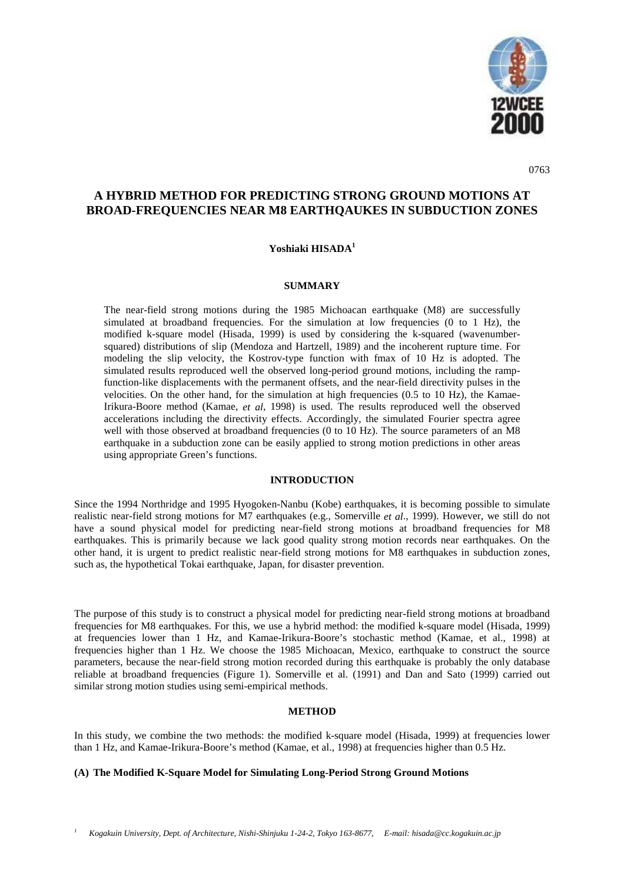

0763

# **A HYBRID METHOD FOR PREDICTING STRONG GROUND MOTIONS AT BROAD-FREQUENCIES NEAR M8 EARTHQAUKES IN SUBDUCTION ZONES**

# **Yoshiaki HISADA1**

#### **SUMMARY**

The near-field strong motions during the 1985 Michoacan earthquake (M8) are successfully simulated at broadband frequencies. For the simulation at low frequencies (0 to 1 Hz), the modified k-square model (Hisada, 1999) is used by considering the k-squared (wavenumbersquared) distributions of slip (Mendoza and Hartzell, 1989) and the incoherent rupture time. For modeling the slip velocity, the Kostrov-type function with fmax of 10 Hz is adopted. The simulated results reproduced well the observed long-period ground motions, including the rampfunction-like displacements with the permanent offsets, and the near-field directivity pulses in the velocities. On the other hand, for the simulation at high frequencies (0.5 to 10 Hz), the Kamae-Irikura-Boore method (Kamae, *et al*, 1998) is used. The results reproduced well the observed accelerations including the directivity effects. Accordingly, the simulated Fourier spectra agree well with those observed at broadband frequencies (0 to 10 Hz). The source parameters of an M8 earthquake in a subduction zone can be easily applied to strong motion predictions in other areas using appropriate Green's functions.

#### **INTRODUCTION**

Since the 1994 Northridge and 1995 Hyogoken-Nanbu (Kobe) earthquakes, it is becoming possible to simulate realistic near-field strong motions for M7 earthquakes (e.g., Somerville *et al*., 1999). However, we still do not have a sound physical model for predicting near-field strong motions at broadband frequencies for M8 earthquakes. This is primarily because we lack good quality strong motion records near earthquakes. On the other hand, it is urgent to predict realistic near-field strong motions for M8 earthquakes in subduction zones, such as, the hypothetical Tokai earthquake, Japan, for disaster prevention.

The purpose of this study is to construct a physical model for predicting near-field strong motions at broadband frequencies for M8 earthquakes. For this, we use a hybrid method: the modified k-square model (Hisada, 1999) at frequencies lower than 1 Hz, and Kamae-Irikura-Boore's stochastic method (Kamae, et al., 1998) at frequencies higher than 1 Hz. We choose the 1985 Michoacan, Mexico, earthquake to construct the source parameters, because the near-field strong motion recorded during this earthquake is probably the only database reliable at broadband frequencies (Figure 1). Somerville et al. (1991) and Dan and Sato (1999) carried out similar strong motion studies using semi-empirical methods.

# **METHOD**

In this study, we combine the two methods: the modified k-square model (Hisada, 1999) at frequencies lower than 1 Hz, and Kamae-Irikura-Boore's method (Kamae, et al., 1998) at frequencies higher than 0.5 Hz.

## **(A) The Modified K-Square Model for Simulating Long-Period Strong Ground Motions**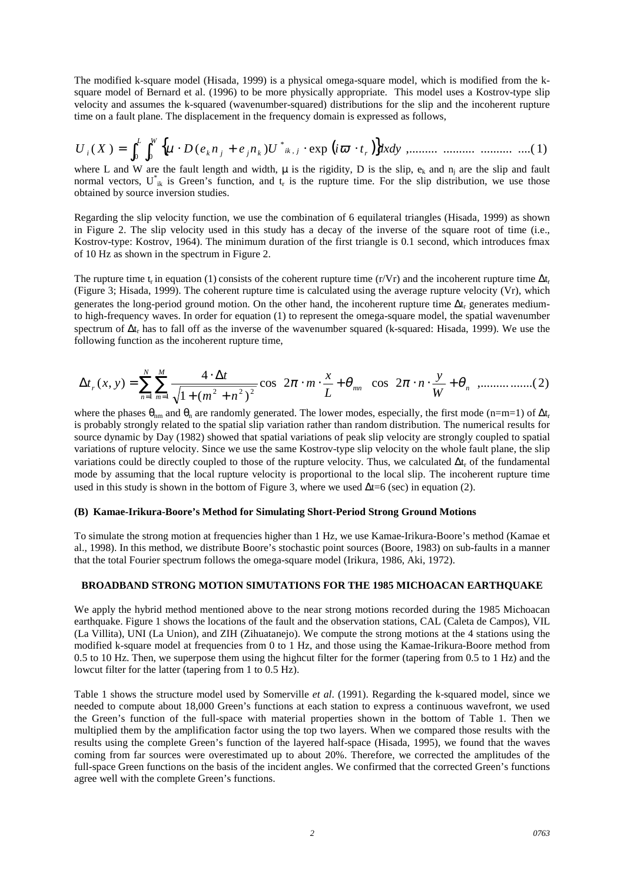The modified k-square model (Hisada, 1999) is a physical omega-square model, which is modified from the ksquare model of Bernard et al. (1996) to be more physically appropriate. This model uses a Kostrov-type slip velocity and assumes the k-squared (wavenumber-squared) distributions for the slip and the incoherent rupture time on a fault plane. The displacement in the frequency domain is expressed as follows,

( ) { } ( ) exp ( ) ,......... .......... .......... ....( 1) 0 0 , \* *<sup>U</sup> <sup>X</sup> <sup>D</sup> <sup>e</sup> <sup>n</sup> <sup>e</sup> <sup>n</sup> <sup>U</sup> <sup>i</sup> <sup>t</sup> dxdy L W <sup>r</sup> ik <sup>j</sup> <sup>i</sup>* ∫ ∫ *<sup>k</sup> <sup>j</sup> <sup>j</sup> <sup>k</sup>* <sup>=</sup> <sup>µ</sup> <sup>⋅</sup> <sup>+</sup> <sup>⋅</sup> <sup>ϖ</sup> <sup>⋅</sup>

where L and W are the fault length and width,  $\mu$  is the rigidity, D is the slip,  $e_k$  and  $n_i$  are the slip and fault normal vectors,  $U^*_{ik}$  is Green's function, and  $t_r$  is the rupture time. For the slip distribution, we use those obtained by source inversion studies.

Regarding the slip velocity function, we use the combination of 6 equilateral triangles (Hisada, 1999) as shown in Figure 2. The slip velocity used in this study has a decay of the inverse of the square root of time (i.e., Kostrov-type: Kostrov, 1964). The minimum duration of the first triangle is 0.1 second, which introduces fmax of 10 Hz as shown in the spectrum in Figure 2.

The rupture time t<sub>r</sub> in equation (1) consists of the coherent rupture time (r/Vr) and the incoherent rupture time  $\Delta t_r$ (Figure 3; Hisada, 1999). The coherent rupture time is calculated using the average rupture velocity (Vr), which generates the long-period ground motion. On the other hand, the incoherent rupture time  $\Delta t_r$  generates mediumto high-frequency waves. In order for equation (1) to represent the omega-square model, the spatial wavenumber spectrum of ∆t<sub>r</sub> has to fall off as the inverse of the wavenumber squared (k-squared: Hisada, 1999). We use the following function as the incoherent rupture time,

$$
\Delta t_r(x, y) = \sum_{n=1}^N \sum_{m=1}^M \frac{4 \cdot \Delta t}{\sqrt{1 + (m^2 + n^2)^2}} \cos \left(2\pi \cdot m \cdot \frac{x}{L} + \theta_{mn}\right) \cos \left(2\pi \cdot n \cdot \frac{y}{W} + \theta_n\right) \dots \dots \dots \dots \dots (2)
$$

where the phases  $\theta_{nm}$  and  $\theta_n$  are randomly generated. The lower modes, especially, the first mode (n=m=1) of  $\Delta t_r$ is probably strongly related to the spatial slip variation rather than random distribution. The numerical results for source dynamic by Day (1982) showed that spatial variations of peak slip velocity are strongly coupled to spatial variations of rupture velocity. Since we use the same Kostrov-type slip velocity on the whole fault plane, the slip variations could be directly coupled to those of the rupture velocity. Thus, we calculated  $\Delta t_r$  of the fundamental mode by assuming that the local rupture velocity is proportional to the local slip. The incoherent rupture time used in this study is shown in the bottom of Figure 3, where we used ∆t=6 (sec) in equation (2).

#### **(B) Kamae-Irikura-Boore's Method for Simulating Short-Period Strong Ground Motions**

To simulate the strong motion at frequencies higher than 1 Hz, we use Kamae-Irikura-Boore's method (Kamae et al., 1998). In this method, we distribute Boore's stochastic point sources (Boore, 1983) on sub-faults in a manner that the total Fourier spectrum follows the omega-square model (Irikura, 1986, Aki, 1972).

#### **BROADBAND STRONG MOTION SIMUTATIONS FOR THE 1985 MICHOACAN EARTHQUAKE**

We apply the hybrid method mentioned above to the near strong motions recorded during the 1985 Michoacan earthquake. Figure 1 shows the locations of the fault and the observation stations, CAL (Caleta de Campos), VIL (La Villita), UNI (La Union), and ZIH (Zihuatanejo). We compute the strong motions at the 4 stations using the modified k-square model at frequencies from 0 to 1 Hz, and those using the Kamae-Irikura-Boore method from 0.5 to 10 Hz. Then, we superpose them using the highcut filter for the former (tapering from 0.5 to 1 Hz) and the lowcut filter for the latter (tapering from 1 to 0.5 Hz).

Table 1 shows the structure model used by Somerville *et al*. (1991). Regarding the k-squared model, since we needed to compute about 18,000 Green's functions at each station to express a continuous wavefront, we used the Green's function of the full-space with material properties shown in the bottom of Table 1. Then we multiplied them by the amplification factor using the top two layers. When we compared those results with the results using the complete Green's function of the layered half-space (Hisada, 1995), we found that the waves coming from far sources were overestimated up to about 20%. Therefore, we corrected the amplitudes of the full-space Green functions on the basis of the incident angles. We confirmed that the corrected Green's functions agree well with the complete Green's functions.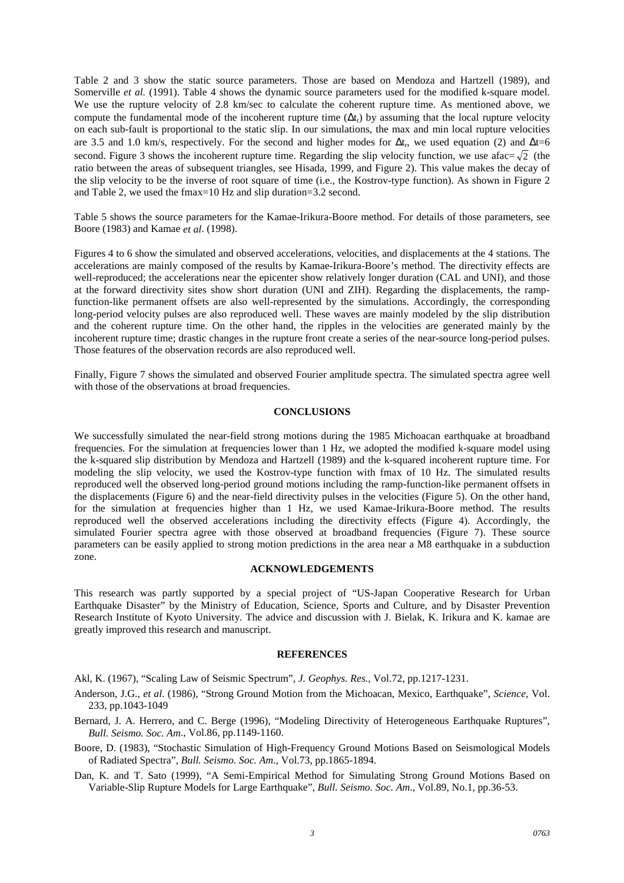Table 2 and 3 show the static source parameters. Those are based on Mendoza and Hartzell (1989), and Somerville *et al.* (1991). Table 4 shows the dynamic source parameters used for the modified k-square model. We use the rupture velocity of 2.8 km/sec to calculate the coherent rupture time. As mentioned above, we compute the fundamental mode of the incoherent rupture time  $(\Delta t_r)$  by assuming that the local rupture velocity on each sub-fault is proportional to the static slip. In our simulations, the max and min local rupture velocities are 3.5 and 1.0 km/s, respectively. For the second and higher modes for  $\Delta t_r$ , we used equation (2) and  $\Delta t=6$ second. Figure 3 shows the incoherent rupture time. Regarding the slip velocity function, we use afac=  $\sqrt{2}$  (the ratio between the areas of subsequent triangles, see Hisada, 1999, and Figure 2). This value makes the decay of the slip velocity to be the inverse of root square of time (i.e., the Kostrov-type function). As shown in Figure 2 and Table 2, we used the fmax=10 Hz and slip duration=3.2 second.

Table 5 shows the source parameters for the Kamae-Irikura-Boore method. For details of those parameters, see Boore (1983) and Kamae *et al*. (1998).

Figures 4 to 6 show the simulated and observed accelerations, velocities, and displacements at the 4 stations. The accelerations are mainly composed of the results by Kamae-Irikura-Boore's method. The directivity effects are well-reproduced; the accelerations near the epicenter show relatively longer duration (CAL and UNI), and those at the forward directivity sites show short duration (UNI and ZIH). Regarding the displacements, the rampfunction-like permanent offsets are also well-represented by the simulations. Accordingly, the corresponding long-period velocity pulses are also reproduced well. These waves are mainly modeled by the slip distribution and the coherent rupture time. On the other hand, the ripples in the velocities are generated mainly by the incoherent rupture time; drastic changes in the rupture front create a series of the near-source long-period pulses. Those features of the observation records are also reproduced well.

Finally, Figure 7 shows the simulated and observed Fourier amplitude spectra. The simulated spectra agree well with those of the observations at broad frequencies.

#### **CONCLUSIONS**

We successfully simulated the near-field strong motions during the 1985 Michoacan earthquake at broadband frequencies. For the simulation at frequencies lower than 1 Hz, we adopted the modified k-square model using the k-squared slip distribution by Mendoza and Hartzell (1989) and the k-squared incoherent rupture time. For modeling the slip velocity, we used the Kostrov-type function with fmax of 10 Hz. The simulated results reproduced well the observed long-period ground motions including the ramp-function-like permanent offsets in the displacements (Figure 6) and the near-field directivity pulses in the velocities (Figure 5). On the other hand, for the simulation at frequencies higher than 1 Hz, we used Kamae-Irikura-Boore method. The results reproduced well the observed accelerations including the directivity effects (Figure 4). Accordingly, the simulated Fourier spectra agree with those observed at broadband frequencies (Figure 7). These source parameters can be easily applied to strong motion predictions in the area near a M8 earthquake in a subduction zone.

# **ACKNOWLEDGEMENTS**

This research was partly supported by a special project of "US-Japan Cooperative Research for Urban Earthquake Disaster" by the Ministry of Education, Science, Sports and Culture, and by Disaster Prevention Research Institute of Kyoto University. The advice and discussion with J. Bielak, K. Irikura and K. kamae are greatly improved this research and manuscript.

#### **REFERENCES**

Akl, K. (1967), "Scaling Law of Seismic Spectrum", *J. Geophys. Res.*, Vol.72, pp.1217-1231.

- Anderson, J.G., *et al*. (1986), "Strong Ground Motion from the Michoacan, Mexico, Earthquake", *Science*, Vol. 233, pp.1043-1049
- Bernard, J. A. Herrero, and C. Berge (1996), "Modeling Directivity of Heterogeneous Earthquake Ruptures", *Bull. Seismo. Soc. Am*., Vol.86, pp.1149-1160.
- Boore, D. (1983), "Stochastic Simulation of High-Frequency Ground Motions Based on Seismological Models of Radiated Spectra", *Bull. Seismo. Soc. Am*., Vol.73, pp.1865-1894.

Dan, K. and T. Sato (1999), "A Semi-Empirical Method for Simulating Strong Ground Motions Based on Variable-Slip Rupture Models for Large Earthquake", *Bull. Seismo. Soc. Am*., Vol.89, No.1, pp.36-53.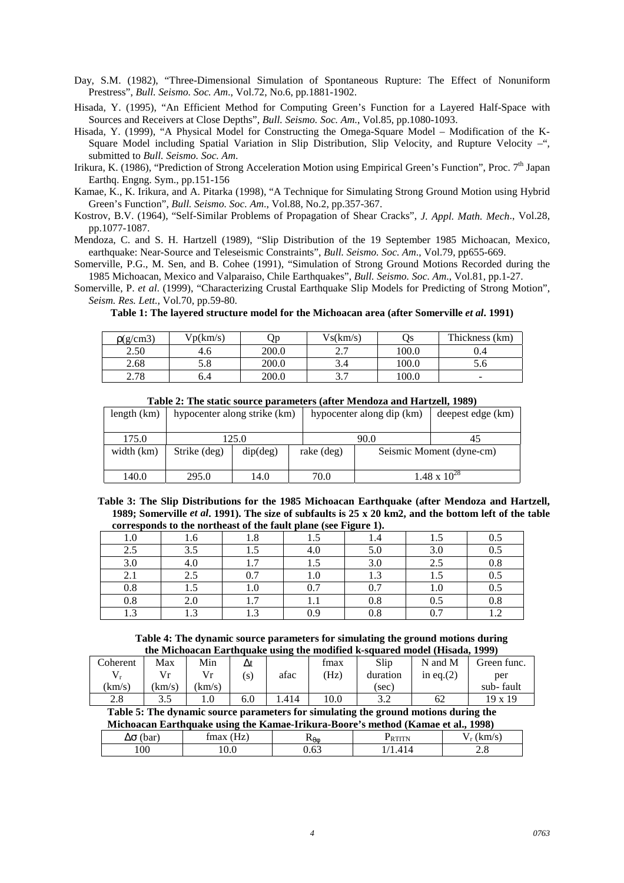Day, S.M. (1982), "Three-Dimensional Simulation of Spontaneous Rupture: The Effect of Nonuniform Prestress", *Bull. Seismo. Soc. Am*., Vol.72, No.6, pp.1881-1902.

Hisada, Y. (1995), "An Efficient Method for Computing Green's Function for a Layered Half-Space with Sources and Receivers at Close Depths", *Bull. Seismo. Soc. Am*., Vol.85, pp.1080-1093.

Hisada, Y. (1999), "A Physical Model for Constructing the Omega-Square Model – Modification of the K-Square Model including Spatial Variation in Slip Distribution, Slip Velocity, and Rupture Velocity –", submitted to *Bull. Seismo. Soc. Am*.

Irikura, K. (1986), "Prediction of Strong Acceleration Motion using Empirical Green's Function", Proc. 7<sup>th</sup> Japan Earthq. Engng. Sym., pp.151-156

Kamae, K., K. Irikura, and A. Pitarka (1998), "A Technique for Simulating Strong Ground Motion using Hybrid Green's Function", *Bull. Seismo. Soc. Am*., Vol.88, No.2, pp.357-367.

Kostrov, B.V. (1964), "Self-Similar Problems of Propagation of Shear Cracks", *J. Appl. Math. Mech*., Vol.28, pp.1077-1087.

Mendoza, C. and S. H. Hartzell (1989), "Slip Distribution of the 19 September 1985 Michoacan, Mexico, earthquake: Near-Source and Teleseismic Constraints", *Bull. Seismo. Soc. Am*., Vol.79, pp655-669.

Somerville, P.G., M. Sen, and B. Cohee (1991), "Simulation of Strong Ground Motions Recorded during the 1985 Michoacan, Mexico and Valparaiso, Chile Earthquakes", *Bull. Seismo. Soc. Am*., Vol.81, pp.1-27.

Somerville, P. *et al*. (1999), "Characterizing Crustal Earthquake Slip Models for Predicting of Strong Motion", *Seism. Res. Lett.*, Vol.70, pp.59-80.

**Table 1: The layered structure model for the Michoacan area (after Somerville** *et al***. 1991)**

| p(g/cm3) | Vp(km/s) | Оp    | Vs(km/s)             | Os    | Thickness (km) |
|----------|----------|-------|----------------------|-------|----------------|
| 2.50     | 4.0      | 200.0 | <u>ົາ</u><br>ن ک     | 100.0 | U.4            |
| 2.68     | 5.8      | 200.0 |                      | 100.0 | o.c            |
| 2.78     | 6.4      | 200.0 | $\sim$ $\sim$<br>، ب | 100.0 | -              |

|               | Table 2. The static source parameters (and memoza and martzen, 1707) |          |            |                           |                   |  |  |  |  |
|---------------|----------------------------------------------------------------------|----------|------------|---------------------------|-------------------|--|--|--|--|
| length $(km)$ | hypocenter along strike (km)                                         |          |            | hypocenter along dip (km) | deepest edge (km) |  |  |  |  |
| 175.0         |                                                                      | 125.0    |            | 90.0                      | 45                |  |  |  |  |
| width (km)    | Strike (deg)                                                         | dip(deg) | rake (deg) | Seismic Moment (dyne-cm)  |                   |  |  |  |  |
| 140.0         | 295.0                                                                | 14.0     | 70.0       | $1.48 \times 10^{28}$     |                   |  |  |  |  |

**Table 2: The static source parameters (after Mendoza and Hartzell, 1989)**

**Table 3: The Slip Distributions for the 1985 Michoacan Earthquake (after Mendoza and Hartzell, 1989; Somerville** *et al***. 1991). The size of subfaults is 25 x 20 km2, and the bottom left of the table corresponds to the northeast of the fault plane (see Figure 1).**

|                    |                               |                        |     | $\overline{\phantom{a}}$ |           |                          |
|--------------------|-------------------------------|------------------------|-----|--------------------------|-----------|--------------------------|
| $_{\rm 1.0}$       | v                             | $\circ$<br>۱.ð         | ن.  |                          | ر 1       | U.J                      |
| 2.5                | 3.5                           | ر…                     | 4.0 | 5.0                      | 3.0       | $_{0.5}$                 |
| 3.0                | 4.U                           | 1 <sub>7</sub>         | ⊥ . | 3.0                      | 2.5       | 0.8                      |
| 2.1                | 2.5                           | ሰ 7<br>∪. ≀            | 1.0 | $\sqrt{2}$<br>1.J        | ر         | $0.5\,$                  |
| 0.8                | $\mathbf{C} \cdot \mathbf{I}$ | I.v                    | 0.7 | 0.7                      | $1.0\,$   | $0.5\,$                  |
| 0.8                | 2.0                           | .                      | 1.1 | 0.8                      | U.J       | 0.8                      |
| $\sqrt{3}$<br>ن. 1 | $\sim$                        | 1 <sub>2</sub><br>ن. 1 | n a | 0.8                      | 07<br>v., | $\sim$<br>. . <u>. .</u> |

#### **Table 4: The dynamic source parameters for simulating the ground motions during the Michoacan Earthquake using the modified k-squared model (Hisada, 1999)**

| uit biltiivatan lan unuunti asine ult mountuu n suuurtu muodo linsauu 1777. |       |        |              |      |      |          |              |             |
|-----------------------------------------------------------------------------|-------|--------|--------------|------|------|----------|--------------|-------------|
| Coherent                                                                    | Max   | Min    | Δt           |      | tmax | Slip     | N and M      | Green func. |
|                                                                             |       | Vr     | $\mathbf{S}$ | afac | (Hz) | duration | in eq. $(2)$ | per         |
| km/s                                                                        | km/s) | (km/s) |              |      |      | (sec)    |              | sub-fault   |
| 2.8                                                                         | 3.5   | 0.1    | 6.0          | .414 | 10.0 |          | 62           | 19 x 19     |

**Table 5: The dynamic source parameters for simulating the ground motions during the**

| Michoacan Earthquake using the Kamae-Irikura-Boore's method (Kamae et al., 1998) |                |      |                    |              |  |  |
|----------------------------------------------------------------------------------|----------------|------|--------------------|--------------|--|--|
| $\Delta \sigma$ (bar)                                                            | $f$ max $(Hz)$ | ΝθΛ  | <sup>P</sup> rtitn | $V_r$ (km/s) |  |  |
| $00\,$                                                                           | 0.0            | 0.63 | 1/1.414            |              |  |  |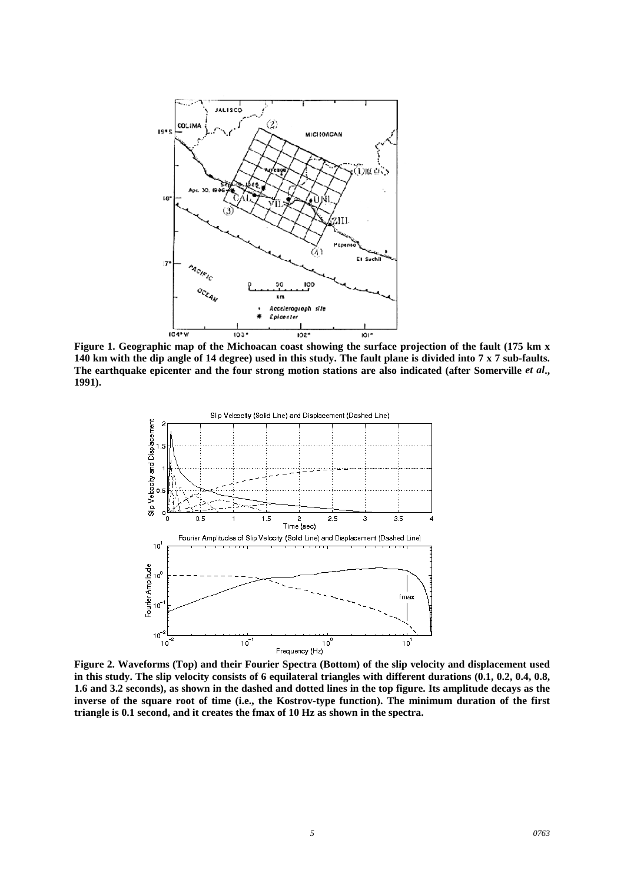

**Figure 1. Geographic map of the Michoacan coast showing the surface projection of the fault (175 km x 140 km with the dip angle of 14 degree) used in this study. The fault plane is divided into 7 x 7 sub-faults.** The earthquake epicenter and the four strong motion stations are also indicated (after Somerville *et al.*, **1991).**



**in this study. The slip velocity consists of 6 equilateral triangles with different durations (0.1, 0.2, 0.4, 0.8, 1.6 and 3.2 seconds), as shown in the dashed and dotted lines in the top figure. Its amplitude decays as the inverse of the square root of time (i.e., the Kostrov-type function). The minimum duration of the first triangle is 0.1 second, and it creates the fmax of 10 Hz as shown in the spectra.**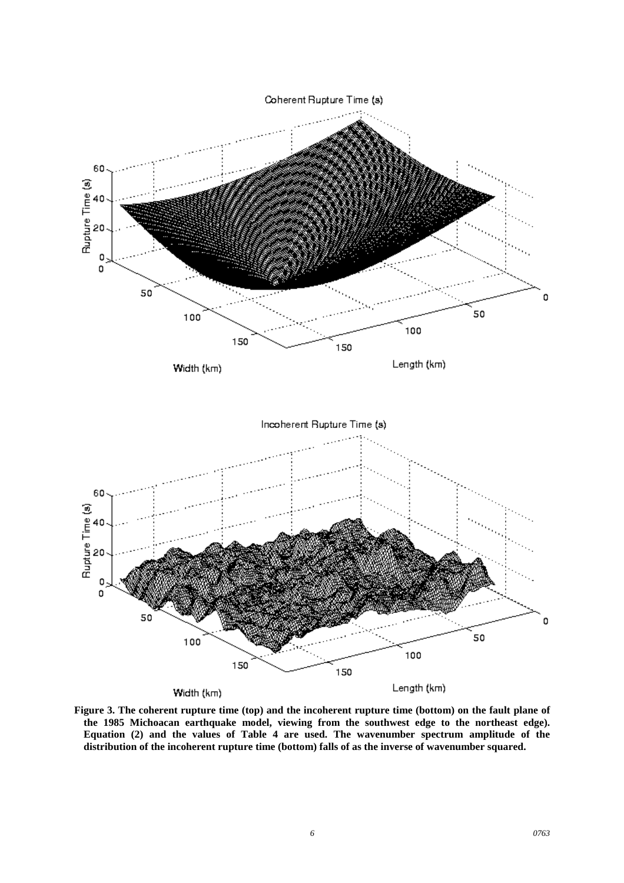

**Figure 3. The coherent rupture time (top) and the incoherent rupture time (bottom) on the fault plane of the 1985 Michoacan earthquake model, viewing from the southwest edge to the northeast edge). Equation (2) and the values of Table 4 are used. The wavenumber spectrum amplitude of the distribution of the incoherent rupture time (bottom) falls of as the inverse of wavenumber squared.**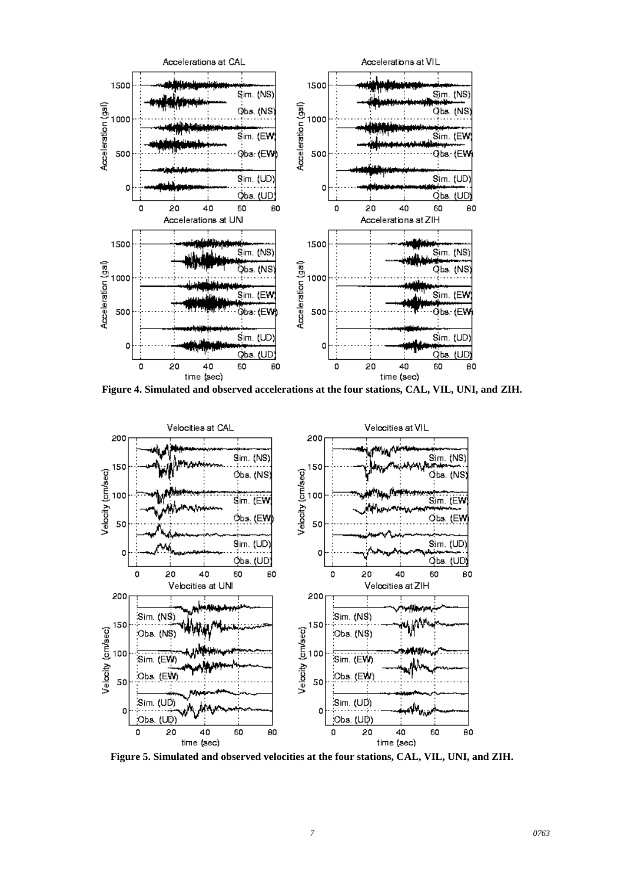

**Figure 4. Simulated and observed accelerations at the four stations, CAL, VIL, UNI, and ZIH.**



**Figure 5. Simulated and observed velocities at the four stations, CAL, VIL, UNI, and ZIH.**